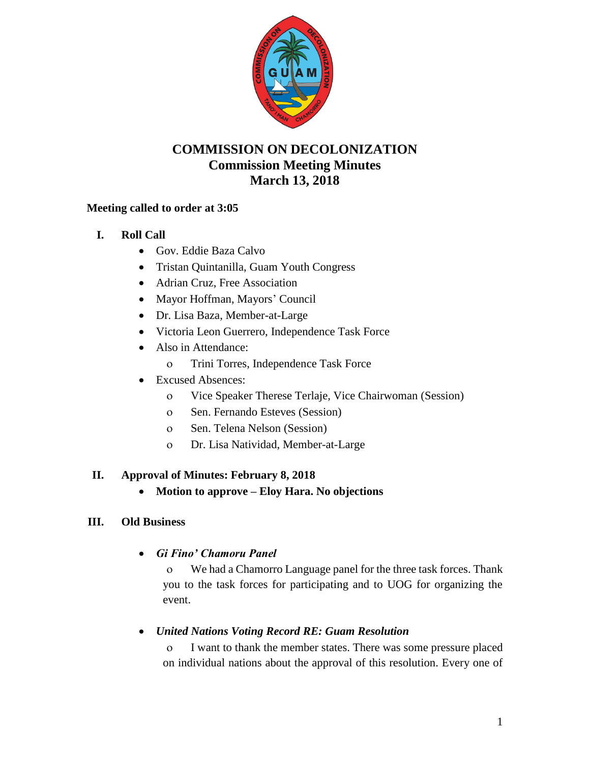

# **COMMISSION ON DECOLONIZATION Commission Meeting Minutes March 13, 2018**

## **Meeting called to order at 3:05**

- **I. Roll Call**
	- Gov. Eddie Baza Calvo
	- Tristan Quintanilla, Guam Youth Congress
	- Adrian Cruz, Free Association
	- Mayor Hoffman, Mayors' Council
	- Dr. Lisa Baza, Member-at-Large
	- Victoria Leon Guerrero, Independence Task Force
	- Also in Attendance:
		- Trini Torres, Independence Task Force
	- Excused Absences:
		- Vice Speaker Therese Terlaje, Vice Chairwoman (Session)
		- o Sen. Fernando Esteves (Session)
		- o Sen. Telena Nelson (Session)
		- Dr. Lisa Natividad, Member-at-Large

## **II. Approval of Minutes: February 8, 2018**

**Motion to approve – Eloy Hara. No objections**

### **III. Old Business**

*Gi Fino' Chamoru Panel*

 We had a Chamorro Language panel for the three task forces. Thank you to the task forces for participating and to UOG for organizing the event.

## *United Nations Voting Record RE: Guam Resolution*

 I want to thank the member states. There was some pressure placed on individual nations about the approval of this resolution. Every one of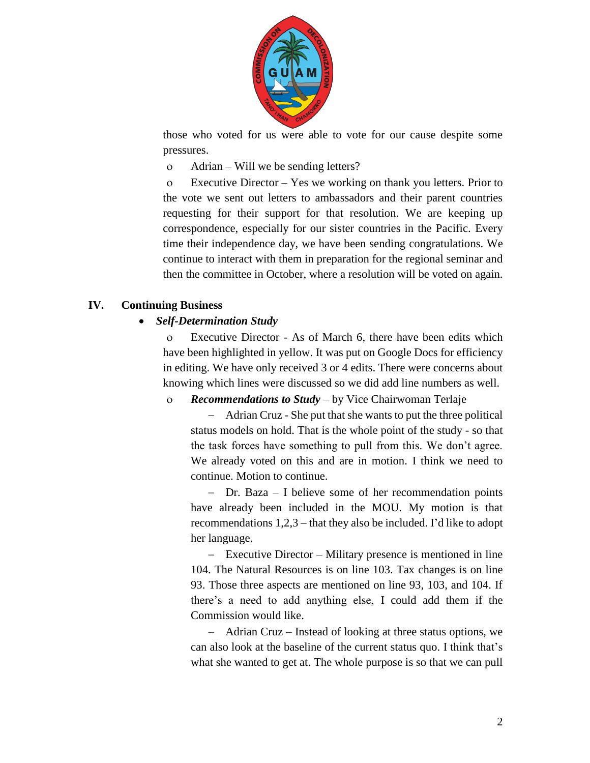

those who voted for us were able to vote for our cause despite some pressures.

Adrian – Will we be sending letters?

 Executive Director – Yes we working on thank you letters. Prior to the vote we sent out letters to ambassadors and their parent countries requesting for their support for that resolution. We are keeping up correspondence, especially for our sister countries in the Pacific. Every time their independence day, we have been sending congratulations. We continue to interact with them in preparation for the regional seminar and then the committee in October, where a resolution will be voted on again.

### **IV. Continuing Business**

#### *Self-Determination Study*

 Executive Director - As of March 6, there have been edits which have been highlighted in yellow. It was put on Google Docs for efficiency in editing. We have only received 3 or 4 edits. There were concerns about knowing which lines were discussed so we did add line numbers as well.

#### *Recommendations to Study* – by Vice Chairwoman Terlaje

 Adrian Cruz - She put that she wants to put the three political status models on hold. That is the whole point of the study - so that the task forces have something to pull from this. We don't agree. We already voted on this and are in motion. I think we need to continue. Motion to continue.

 Dr. Baza – I believe some of her recommendation points have already been included in the MOU. My motion is that recommendations 1,2,3 – that they also be included. I'd like to adopt her language.

 Executive Director – Military presence is mentioned in line 104. The Natural Resources is on line 103. Tax changes is on line 93. Those three aspects are mentioned on line 93, 103, and 104. If there's a need to add anything else, I could add them if the Commission would like.

 Adrian Cruz – Instead of looking at three status options, we can also look at the baseline of the current status quo. I think that's what she wanted to get at. The whole purpose is so that we can pull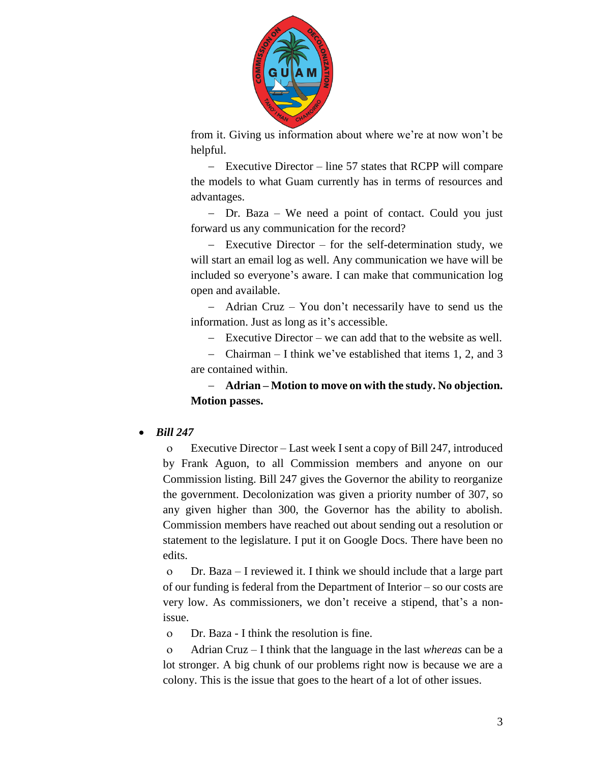

from it. Giving us information about where we're at now won't be helpful.

 Executive Director – line 57 states that RCPP will compare the models to what Guam currently has in terms of resources and advantages.

 Dr. Baza – We need a point of contact. Could you just forward us any communication for the record?

 Executive Director – for the self-determination study, we will start an email log as well. Any communication we have will be included so everyone's aware. I can make that communication log open and available.

 Adrian Cruz – You don't necessarily have to send us the information. Just as long as it's accessible.

Executive Director – we can add that to the website as well.

 Chairman – I think we've established that items 1, 2, and 3 are contained within.

 **Adrian – Motion to move on with the study. No objection. Motion passes.** 

### *Bill 247*

 Executive Director – Last week I sent a copy of Bill 247, introduced by Frank Aguon, to all Commission members and anyone on our Commission listing. Bill 247 gives the Governor the ability to reorganize the government. Decolonization was given a priority number of 307, so any given higher than 300, the Governor has the ability to abolish. Commission members have reached out about sending out a resolution or statement to the legislature. I put it on Google Docs. There have been no edits.

 Dr. Baza – I reviewed it. I think we should include that a large part of our funding is federal from the Department of Interior – so our costs are very low. As commissioners, we don't receive a stipend, that's a nonissue.

Dr. Baza - I think the resolution is fine.

 Adrian Cruz – I think that the language in the last *whereas* can be a lot stronger. A big chunk of our problems right now is because we are a colony. This is the issue that goes to the heart of a lot of other issues.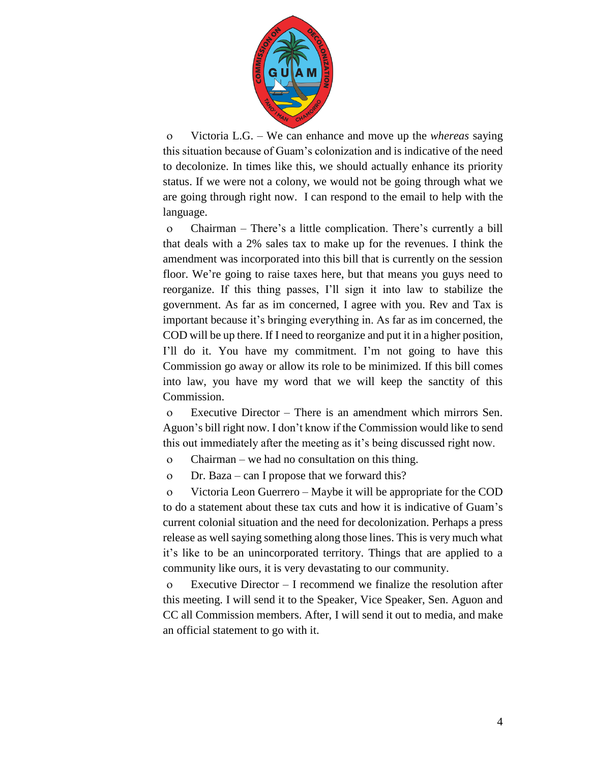

 Victoria L.G. – We can enhance and move up the *whereas* saying this situation because of Guam's colonization and is indicative of the need to decolonize. In times like this, we should actually enhance its priority status. If we were not a colony, we would not be going through what we are going through right now. I can respond to the email to help with the language.

 Chairman – There's a little complication. There's currently a bill that deals with a 2% sales tax to make up for the revenues. I think the amendment was incorporated into this bill that is currently on the session floor. We're going to raise taxes here, but that means you guys need to reorganize. If this thing passes, I'll sign it into law to stabilize the government. As far as im concerned, I agree with you. Rev and Tax is important because it's bringing everything in. As far as im concerned, the COD will be up there. If I need to reorganize and put it in a higher position, I'll do it. You have my commitment. I'm not going to have this Commission go away or allow its role to be minimized. If this bill comes into law, you have my word that we will keep the sanctity of this Commission.

 Executive Director – There is an amendment which mirrors Sen. Aguon's bill right now. I don't know if the Commission would like to send this out immediately after the meeting as it's being discussed right now.

Chairman – we had no consultation on this thing.

Dr. Baza – can I propose that we forward this?

 Victoria Leon Guerrero – Maybe it will be appropriate for the COD to do a statement about these tax cuts and how it is indicative of Guam's current colonial situation and the need for decolonization. Perhaps a press release as well saying something along those lines. This is very much what it's like to be an unincorporated territory. Things that are applied to a community like ours, it is very devastating to our community.

 Executive Director – I recommend we finalize the resolution after this meeting. I will send it to the Speaker, Vice Speaker, Sen. Aguon and CC all Commission members. After, I will send it out to media, and make an official statement to go with it.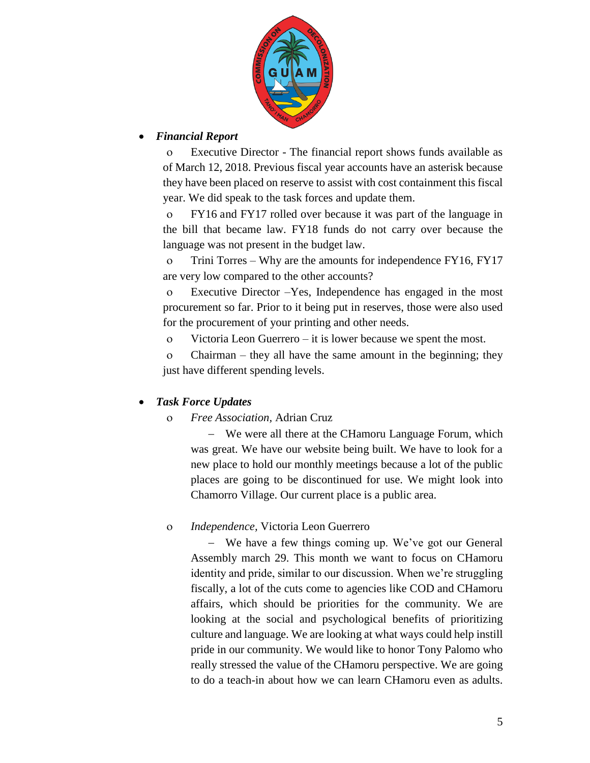

### *Financial Report*

 Executive Director - The financial report shows funds available as of March 12, 2018. Previous fiscal year accounts have an asterisk because they have been placed on reserve to assist with cost containment this fiscal year. We did speak to the task forces and update them.

 FY16 and FY17 rolled over because it was part of the language in the bill that became law. FY18 funds do not carry over because the language was not present in the budget law.

 Trini Torres – Why are the amounts for independence FY16, FY17 are very low compared to the other accounts?

 Executive Director –Yes, Independence has engaged in the most procurement so far. Prior to it being put in reserves, those were also used for the procurement of your printing and other needs.

Victoria Leon Guerrero – it is lower because we spent the most.

 Chairman – they all have the same amount in the beginning; they just have different spending levels.

### *Task Force Updates*

### *Free Association,* Adrian Cruz

 We were all there at the CHamoru Language Forum, which was great. We have our website being built. We have to look for a new place to hold our monthly meetings because a lot of the public places are going to be discontinued for use. We might look into Chamorro Village. Our current place is a public area.

### *Independence,* Victoria Leon Guerrero

 We have a few things coming up. We've got our General Assembly march 29. This month we want to focus on CHamoru identity and pride, similar to our discussion. When we're struggling fiscally, a lot of the cuts come to agencies like COD and CHamoru affairs, which should be priorities for the community. We are looking at the social and psychological benefits of prioritizing culture and language. We are looking at what ways could help instill pride in our community. We would like to honor Tony Palomo who really stressed the value of the CHamoru perspective. We are going to do a teach-in about how we can learn CHamoru even as adults.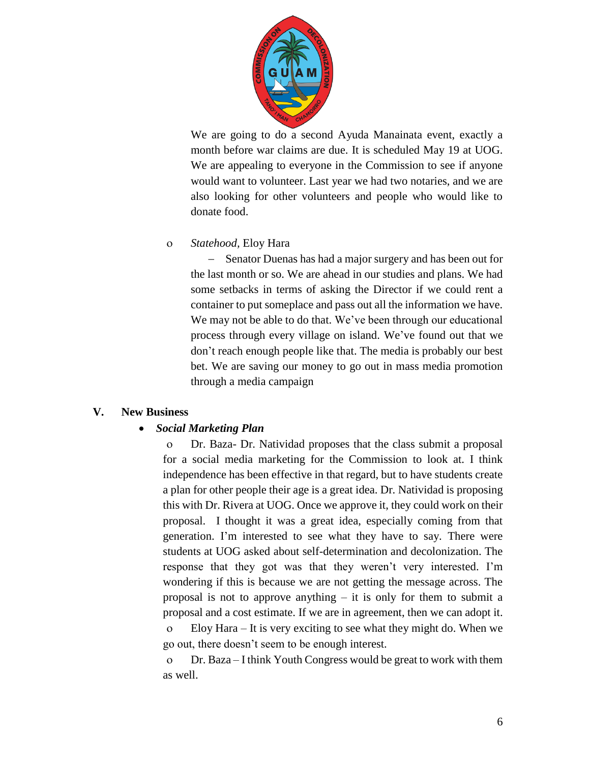

We are going to do a second Ayuda Manainata event, exactly a month before war claims are due. It is scheduled May 19 at UOG. We are appealing to everyone in the Commission to see if anyone would want to volunteer. Last year we had two notaries, and we are also looking for other volunteers and people who would like to donate food.

#### *Statehood,* Eloy Hara

- Senator Duenas has had a major surgery and has been out for the last month or so. We are ahead in our studies and plans. We had some setbacks in terms of asking the Director if we could rent a container to put someplace and pass out all the information we have. We may not be able to do that. We've been through our educational process through every village on island. We've found out that we don't reach enough people like that. The media is probably our best bet. We are saving our money to go out in mass media promotion through a media campaign

### **V. New Business**

### *Social Marketing Plan*

 Dr. Baza- Dr. Natividad proposes that the class submit a proposal for a social media marketing for the Commission to look at. I think independence has been effective in that regard, but to have students create a plan for other people their age is a great idea. Dr. Natividad is proposing this with Dr. Rivera at UOG. Once we approve it, they could work on their proposal. I thought it was a great idea, especially coming from that generation. I'm interested to see what they have to say. There were students at UOG asked about self-determination and decolonization. The response that they got was that they weren't very interested. I'm wondering if this is because we are not getting the message across. The proposal is not to approve anything – it is only for them to submit a proposal and a cost estimate. If we are in agreement, then we can adopt it. Eloy Hara – It is very exciting to see what they might do. When we go out, there doesn't seem to be enough interest.

 Dr. Baza – I think Youth Congress would be great to work with them as well.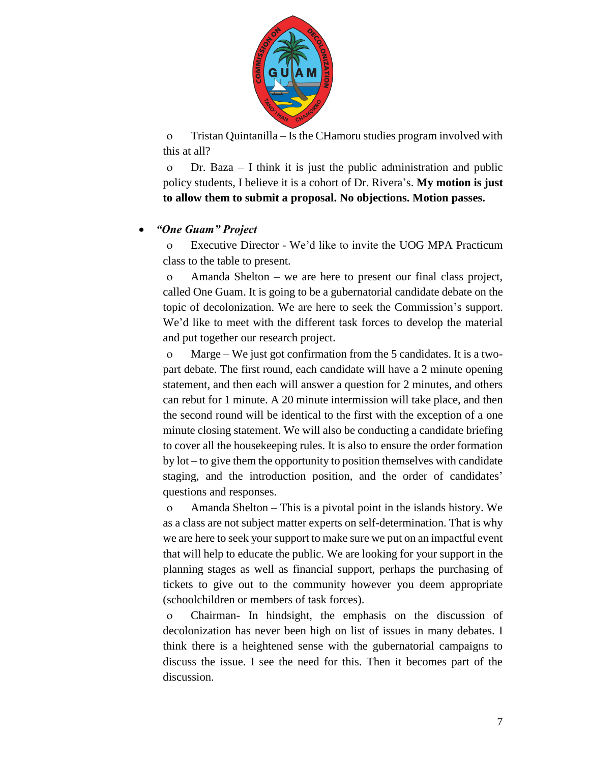

 Tristan Quintanilla – Is the CHamoru studies program involved with this at all?

 Dr. Baza – I think it is just the public administration and public policy students, I believe it is a cohort of Dr. Rivera's. **My motion is just to allow them to submit a proposal. No objections. Motion passes.**

#### *"One Guam" Project*

 Executive Director - We'd like to invite the UOG MPA Practicum class to the table to present.

 Amanda Shelton – we are here to present our final class project, called One Guam. It is going to be a gubernatorial candidate debate on the topic of decolonization. We are here to seek the Commission's support. We'd like to meet with the different task forces to develop the material and put together our research project.

 Marge – We just got confirmation from the 5 candidates. It is a twopart debate. The first round, each candidate will have a 2 minute opening statement, and then each will answer a question for 2 minutes, and others can rebut for 1 minute. A 20 minute intermission will take place, and then the second round will be identical to the first with the exception of a one minute closing statement. We will also be conducting a candidate briefing to cover all the housekeeping rules. It is also to ensure the order formation by lot – to give them the opportunity to position themselves with candidate staging, and the introduction position, and the order of candidates' questions and responses.

 Amanda Shelton – This is a pivotal point in the islands history. We as a class are not subject matter experts on self-determination. That is why we are here to seek your support to make sure we put on an impactful event that will help to educate the public. We are looking for your support in the planning stages as well as financial support, perhaps the purchasing of tickets to give out to the community however you deem appropriate (schoolchildren or members of task forces).

 Chairman- In hindsight, the emphasis on the discussion of decolonization has never been high on list of issues in many debates. I think there is a heightened sense with the gubernatorial campaigns to discuss the issue. I see the need for this. Then it becomes part of the discussion.